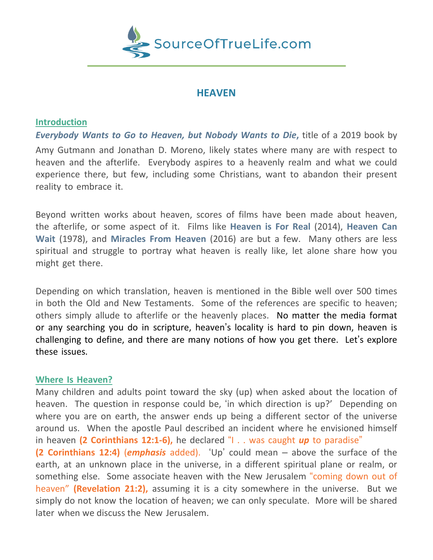

# **HEAVEN**

# **Introduction**

*Everybody Wants to Go to Heaven, but Nobody Wants to Die***,** title of a 2019 book by Amy Gutmann and Jonathan D. Moreno, likely states where many are with respect to heaven and the afterlife. Everybody aspires to a heavenly realm and what we could experience there, but few, including some Christians, want to abandon their present reality to embrace it.

Beyond written works about heaven, scores of films have been made about heaven, the afterlife, or some aspect of it. Films like **Heaven is For Real** (2014), **Heaven Can Wait** (1978), and **Miracles From Heaven** (2016) are but a few. Many others are less spiritual and struggle to portray what heaven is really like, let alone share how you might get there.

Depending on which translation, heaven is mentioned in the Bible well over 500 times in both the Old and New Testaments. Some of the references are specific to heaven; others simply allude to afterlife or the heavenly places. No matter the media format or any searching you do in scripture, heaven's locality is hard to pin down, heaven is challenging to define, and there are many notions of how you get there. Let's explore these issues.

## **Where Is Heaven?**

Many children and adults point toward the sky (up) when asked about the location of heaven. The question in response could be, 'in which direction is up?' Depending on where you are on earth, the answer ends up being a different sector of the universe around us. When the apostle Paul described an incident where he envisioned himself in heaven **(2 Corinthians 12:1-6),** he declared "I . . was caught *up* to paradise" **(2 Corinthians 12:4)** (*emphasis* added). 'Up' could mean – above the surface of the earth, at an unknown place in the universe, in a different spiritual plane or realm, or something else. Some associate heaven with the New Jerusalem "coming down out of heaven" **(Revelation 21:2),** assuming it is a city somewhere in the universe. But we simply do not know the location of heaven; we can only speculate. More will be shared later when we discuss the New Jerusalem.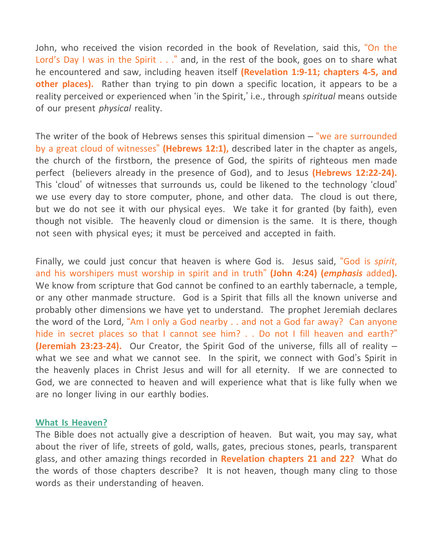John, who received the vision recorded in the book of Revelation, said this, "On the Lord's Day I was in the Spirit . . ." and, in the rest of the book, goes on to share what he encountered and saw, including heaven itself **(Revelation 1:9-11; chapters 4-5, and other places).** Rather than trying to pin down a specific location, it appears to be a reality perceived or experienced when 'in the Spirit,' i.e., through *spiritual* means outside of our present *physical* reality.

The writer of the book of Hebrews senses this spiritual dimension  $-$  "we are surrounded by a great cloud of witnesses" **(Hebrews 12:1),** described later in the chapter as angels, the church of the firstborn, the presence of God, the spirits of righteous men made perfect (believers already in the presence of God), and to Jesus **(Hebrews 12:22-24).** This 'cloud' of witnesses that surrounds us, could be likened to the technology 'cloud' we use every day to store computer, phone, and other data. The cloud is out there, but we do not see it with our physical eyes. We take it for granted (by faith), even though not visible. The heavenly cloud or dimension is the same. It is there, though not seen with physical eyes; it must be perceived and accepted in faith.

Finally, we could just concur that heaven is where God is. Jesus said, "God is *spirit*, and his worshipers must worship in spirit and in truth" **(John 4:24) (***emphasis* added**).** We know from scripture that God cannot be confined to an earthly tabernacle, a temple, or any other manmade structure. God is a Spirit that fills all the known universe and probably other dimensions we have yet to understand. The prophet Jeremiah declares the word of the Lord, "Am I only a God nearby . . and not a God far away? Can anyone hide in secret places so that I cannot see him? . . Do not I fill heaven and earth?" **(Jeremiah 23:23-24).** Our Creator, the Spirit God of the universe, fills all of reality – what we see and what we cannot see. In the spirit, we connect with God's Spirit in the heavenly places in Christ Jesus and will for all eternity. If we are connected to God, we are connected to heaven and will experience what that is like fully when we are no longer living in our earthly bodies.

## **What Is Heaven?**

The Bible does not actually give a description of heaven. But wait, you may say, what about the river of life, streets of gold, walls, gates, precious stones, pearls, transparent glass, and other amazing things recorded in **Revelation chapters 21 and 22?** What do the words of those chapters describe? It is not heaven, though many cling to those words as their understanding of heaven.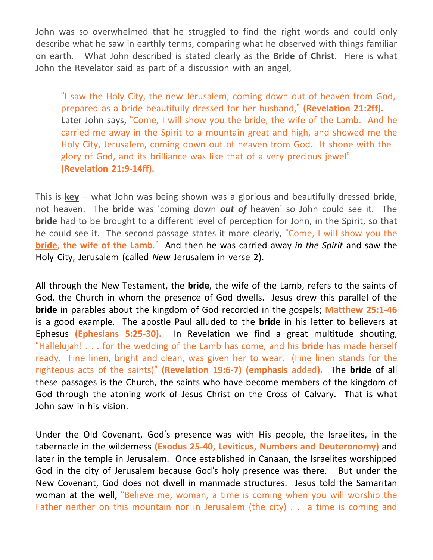John was so overwhelmed that he struggled to find the right words and could only describe what he saw in earthly terms, comparing what he observed with things familiar on earth. What John described is stated clearly as the **Bride of Christ**. Here is what John the Revelator said as part of a discussion with an angel,

"I saw the Holy City, the new Jerusalem, coming down out of heaven from God, prepared as a bride beautifully dressed for her husband," **(Revelation 21:2ff).** Later John says, "Come, I will show you the bride, the wife of the Lamb. And he carried me away in the Spirit to a mountain great and high, and showed me the Holy City, Jerusalem, coming down out of heaven from God. It shone with the glory of God, and its brilliance was like that of a very precious jewel" **(Revelation 21:9-14ff).**

This is **key** – what John was being shown was a glorious and beautifully dressed **bride**, not heaven. The **bride** was 'coming down *out of* heaven' so John could see it. The **bride** had to be brought to a different level of perception for John, in the Spirit, so that he could see it. The second passage states it more clearly, "Come, I will show you the **bride**, **the wife of the Lamb**." And then he was carried away *in the Spirit* and saw the Holy City, Jerusalem (called *New* Jerusalem in verse 2).

All through the New Testament, the **bride**, the wife of the Lamb, refers to the saints of God, the Church in whom the presence of God dwells. Jesus drew this parallel of the **bride** in parables about the kingdom of God recorded in the gospels; **Matthew 25:1-46** is a good example. The apostle Paul alluded to the **bride** in his letter to believers at Ephesus **(Ephesians 5:25-30).** In Revelation we find a great multitude shouting, "Hallelujah! . . . for the wedding of the Lamb has come, and his **bride** has made herself ready. Fine linen, bright and clean, was given her to wear. (Fine linen stands for the righteous acts of the saints)" **(Revelation 19:6-7) (emphasis** added**).** The **bride** of all these passages is the Church, the saints who have become members of the kingdom of God through the atoning work of Jesus Christ on the Cross of Calvary. That is what John saw in his vision.

Under the Old Covenant, God's presence was with His people, the Israelites, in the tabernacle in the wilderness **(Exodus 25-40, Leviticus, Numbers and Deuteronomy)** and later in the temple in Jerusalem. Once established in Canaan, the Israelites worshipped God in the city of Jerusalem because God's holy presence was there. But under the New Covenant, God does not dwell in manmade structures. Jesus told the Samaritan woman at the well, "Believe me, woman, a time is coming when you will worship the Father neither on this mountain nor in Jerusalem (the city) . . a time is coming and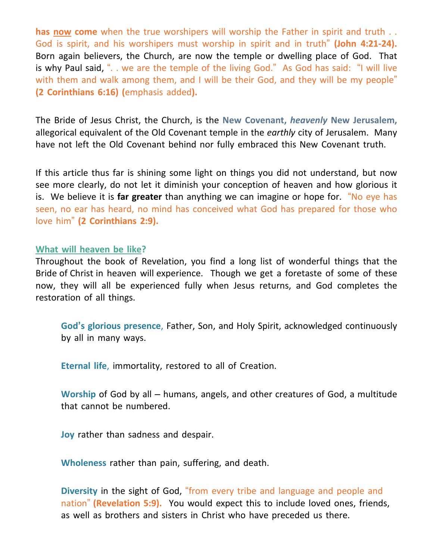**has now come** when the true worshipers will worship the Father in spirit and truth . . God is spirit, and his worshipers must worship in spirit and in truth" **(John 4:21-24).** Born again believers, the Church, are now the temple or dwelling place of God. That is why Paul said, ". . we are the temple of the living God." As God has said: "I will live with them and walk among them, and I will be their God, and they will be my people" **(2 Corinthians 6:16) (**emphasis added**).**

The Bride of Jesus Christ, the Church, is the **New Covenant,** *heavenly* **New Jerusalem,** allegorical equivalent of the Old Covenant temple in the *earthly* city of Jerusalem. Many have not left the Old Covenant behind nor fully embraced this New Covenant truth.

If this article thus far is shining some light on things you did not understand, but now see more clearly, do not let it diminish your conception of heaven and how glorious it is. We believe it is **far greater** than anything we can imagine or hope for. "No eye has seen, no ear has heard, no mind has conceived what God has prepared for those who love him" **(2 Corinthians 2:9).**

## **What will heaven be like?**

Throughout the book of Revelation, you find a long list of wonderful things that the Bride of Christ in heaven will experience. Though we get a foretaste of some of these now, they will all be experienced fully when Jesus returns, and God completes the restoration of all things.

**God's glorious presence**, Father, Son, and Holy Spirit, acknowledged continuously by all in many ways.

**Eternal life**, immortality, restored to all of Creation.

**Worship** of God by all – humans, angels, and other creatures of God, a multitude that cannot be numbered.

**Joy** rather than sadness and despair.

**Wholeness** rather than pain, suffering, and death.

**Diversity** in the sight of God, "from every tribe and language and people and nation" **(Revelation 5:9).** You would expect this to include loved ones, friends, as well as brothers and sisters in Christ who have preceded us there.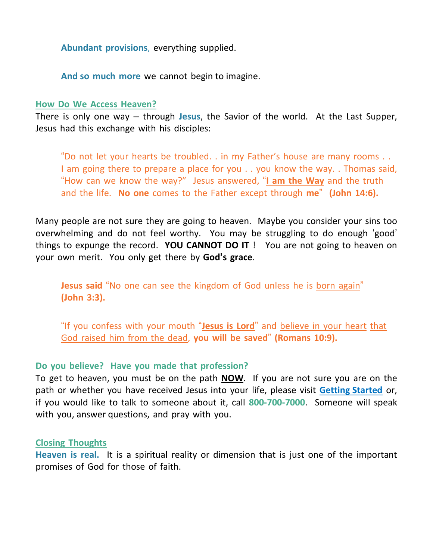**Abundant provisions**, everything supplied.

**And so much more** we cannot begin to imagine.

## **How Do We Access Heaven?**

There is only one way – through **Jesus**, the Savior of the world. At the Last Supper, Jesus had this exchange with his disciples:

"Do not let your hearts be troubled. . in my Father's house are many rooms . . I am going there to prepare a place for you . . you know the way. . Thomas said, "How can we know the way?" Jesus answered, "**I am the Way** and the truth and the life. **No one** comes to the Father except through **me**" **(John 14:6).**

Many people are not sure they are going to heaven. Maybe you consider your sins too overwhelming and do not feel worthy. You may be struggling to do enough 'good' things to expunge the record. **YOU CANNOT DO IT** ! You are not going to heaven on your own merit. You only get there by **God's grace**.

**Jesus said** "No one can see the kingdom of God unless he is born again" **(John 3:3).**

"If you confess with your mouth "**Jesus is Lord**" and believe in your heart that God raised him from the dead, **you will be saved**" **(Romans 10:9).**

# **Do you believe? Have you made that profession?**

To get to heaven, you must be on the path **NOW**. If you are not sure you are on the path or whether you have received Jesus into your life, please visit **Getting Started** or, if you would like to talk to someone about it, call **800-700-7000**. Someone will speak with you, answer questions, and pray with you.

# **Closing Thoughts**

**Heaven is real.** It is a spiritual reality or dimension that is just one of the important promises of God for those of faith.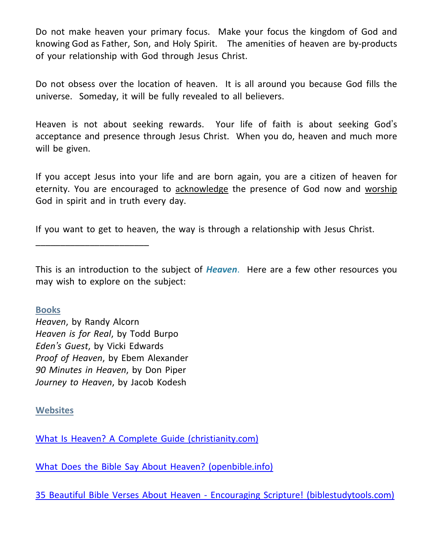Do not make heaven your primary focus. Make your focus the kingdom of God and knowing God as Father, Son, and Holy Spirit. The amenities of heaven are by-products of your relationship with God through Jesus Christ.

Do not obsess over the location of heaven. It is all around you because God fills the universe. Someday, it will be fully revealed to all believers.

Heaven is not about seeking rewards. Your life of faith is about seeking God's acceptance and presence through Jesus Christ. When you do, heaven and much more will be given.

If you accept Jesus into your life and are born again, you are a citizen of heaven for eternity. You are encouraged to acknowledge the presence of God now and worship God in spirit and in truth every day.

If you want to get to heaven, the way is through a relationship with Jesus Christ.

This is an introduction to the subject of *Heaven*. Here are a few other resources you may wish to explore on the subject:

**Books**

*Heaven*, by Randy Alcorn *Heaven is for Real*, by Todd Burpo *Eden's Guest*, by Vicki Edwards *Proof of Heaven*, by Ebem Alexander *90 Minutes in Heaven*, by Don Piper *Journey to Heaven*, by Jacob Kodesh

\_\_\_\_\_\_\_\_\_\_\_\_\_\_\_\_\_\_\_\_\_\_\_

**Websites**

What Is Heaven? A Complete Guide [\(christianity.com\)](https://www.christianity.com/wiki/heaven-and-hell/what-is-heaven.html)

What Does the Bible Say About Heaven? [\(openbible.info\)](https://www.openbible.info/topics/heaven)

35 Beautiful Bible Verses About Heaven - Encouraging Scripture! [\(biblestudytools.com\)](https://www.biblestudytools.com/topical-verses/heaven-bible-verses/)